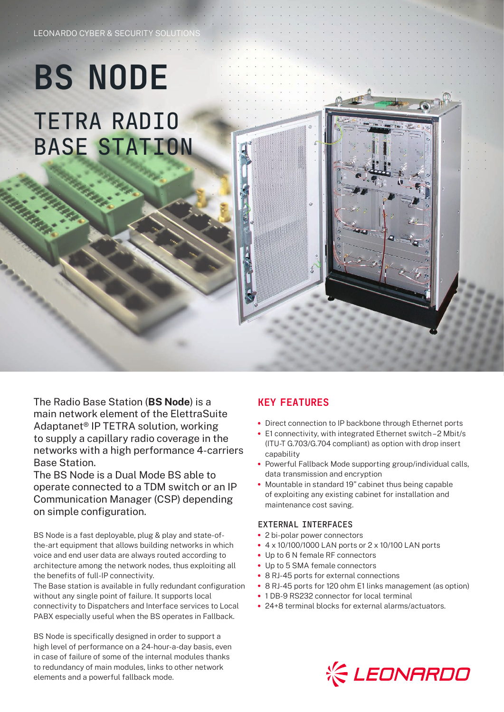## **BS NODE** TETRA RADIO BASE STATION

LEONARDO CYBER & SECURITY SOLUTION

The Radio Base Station (**BS Node**) is a main network element of the ElettraSuite Adaptanet® IP TETRA solution, working to supply a capillary radio coverage in the networks with a high performance 4-carriers Base Station.

The BS Node is a Dual Mode BS able to operate connected to a TDM switch or an IP Communication Manager (CSP) depending on simple configuration.

BS Node is a fast deployable, plug & play and state-ofthe-art equipment that allows building networks in which voice and end user data are always routed according to architecture among the network nodes, thus exploiting all the benefits of full-IP connectivity.

The Base station is available in fully redundant configuration without any single point of failure. It supports local connectivity to Dispatchers and Interface services to Local PABX especially useful when the BS operates in Fallback.

BS Node is specifically designed in order to support a high level of performance on a 24-hour-a-day basis, even in case of failure of some of the internal modules thanks to redundancy of main modules, links to other network elements and a powerful fallback mode.

## KEY FEATURES

- **•** Direct connection to IP backbone through Ethernet ports
- **•** E1 connectivity, with integrated Ethernet switch 2 Mbit/s (ITU-T G.703/G.704 compliant) as option with drop insert capability
- **•** Powerful Fallback Mode supporting group/individual calls, data transmission and encryption
- **•** Mountable in standard 19" cabinet thus being capable of exploiting any existing cabinet for installation and maintenance cost saving.

## EXTERNAL INTERFACES

- **•** 2 bi-polar power connectors
- **•** 4 x 10/100/1000 LAN ports or 2 x 10/100 LAN ports
- **•** Up to 6 N female RF connectors
- **•** Up to 5 SMA female connectors
- **•** 8 RJ-45 ports for external connections
- **•** 8 RJ-45 ports for 120 ohm E1 links management (as option)
- **•** 1 DB-9 RS232 connector for local terminal
- **•** 24+8 terminal blocks for external alarms/actuators.